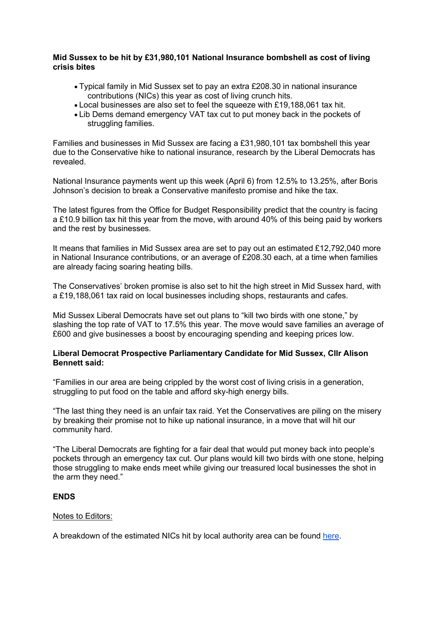## Mid Sussex to be hit by £31,980,101 National Insurance bombshell as cost of living crisis bites

- Typical family in Mid Sussex set to pay an extra £208.30 in national insurance contributions (NICs) this year as cost of living crunch hits.
- Local businesses are also set to feel the squeeze with £19,188,061 tax hit.
- Lib Dems demand emergency VAT tax cut to put money back in the pockets of struggling families.

Families and businesses in Mid Sussex are facing a £31,980,101 tax bombshell this year due to the Conservative hike to national insurance, research by the Liberal Democrats has revealed.

National Insurance payments went up this week (April 6) from 12.5% to 13.25%, after Boris Johnson's decision to break a Conservative manifesto promise and hike the tax.

The latest figures from the Office for Budget Responsibility predict that the country is facing a £10.9 billion tax hit this year from the move, with around 40% of this being paid by workers and the rest by businesses.

It means that families in Mid Sussex area are set to pay out an estimated £12,792,040 more in National Insurance contributions, or an average of £208.30 each, at a time when families are already facing soaring heating bills.

The Conservatives' broken promise is also set to hit the high street in Mid Sussex hard, with a £19,188,061 tax raid on local businesses including shops, restaurants and cafes.

Mid Sussex Liberal Democrats have set out plans to "kill two birds with one stone," by slashing the top rate of VAT to 17.5% this year. The move would save families an average of £600 and give businesses a boost by encouraging spending and keeping prices low.

## Liberal Democrat Prospective Parliamentary Candidate for Mid Sussex, Cllr Alison Bennett said:

"Families in our area are being crippled by the worst cost of living crisis in a generation, struggling to put food on the table and afford sky-high energy bills.

"The last thing they need is an unfair tax raid. Yet the Conservatives are piling on the misery by breaking their promise not to hike up national insurance, in a move that will hit our community hard.

"The Liberal Democrats are fighting for a fair deal that would put money back into people's pockets through an emergency tax cut. Our plans would kill two birds with one stone, helping those struggling to make ends meet while giving our treasured local businesses the shot in the arm they need."

## ENDS

## Notes to Editors:

A breakdown of the estimated NICs hit by local authority area can be found here.